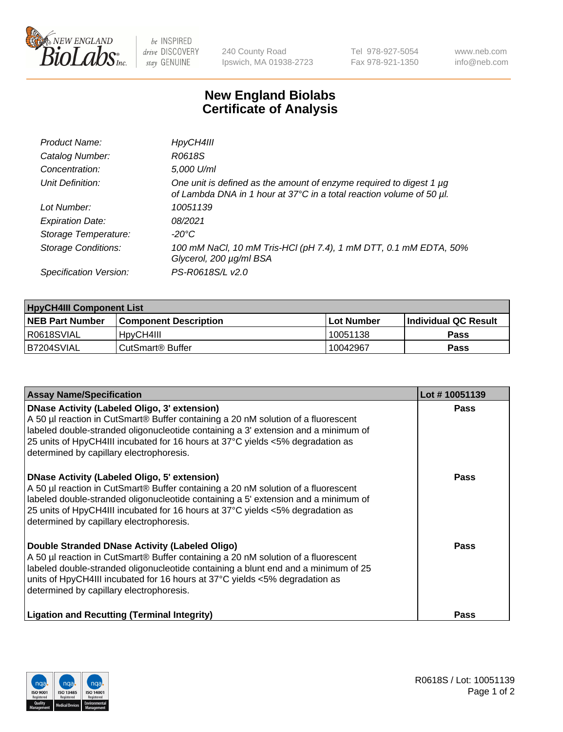

be INSPIRED drive DISCOVERY stay GENUINE

240 County Road Ipswich, MA 01938-2723 Tel 978-927-5054 Fax 978-921-1350 www.neb.com info@neb.com

## **New England Biolabs Certificate of Analysis**

| Product Name:              | HpyCH4III                                                                                                                                        |
|----------------------------|--------------------------------------------------------------------------------------------------------------------------------------------------|
| Catalog Number:            | R0618S                                                                                                                                           |
| Concentration:             | 5,000 U/ml                                                                                                                                       |
| Unit Definition:           | One unit is defined as the amount of enzyme required to digest 1 $\mu$ g<br>of Lambda DNA in 1 hour at 37°C in a total reaction volume of 50 µl. |
| Lot Number:                | 10051139                                                                                                                                         |
| <b>Expiration Date:</b>    | 08/2021                                                                                                                                          |
| Storage Temperature:       | -20°C                                                                                                                                            |
| <b>Storage Conditions:</b> | 100 mM NaCl, 10 mM Tris-HCl (pH 7.4), 1 mM DTT, 0.1 mM EDTA, 50%<br>Glycerol, 200 µg/ml BSA                                                      |
| Specification Version:     | PS-R0618S/L v2.0                                                                                                                                 |

| <b>HpyCH4III Component List</b> |                              |                   |                             |  |  |
|---------------------------------|------------------------------|-------------------|-----------------------------|--|--|
| <b>NEB Part Number</b>          | <b>Component Description</b> | <b>Lot Number</b> | <b>Individual QC Result</b> |  |  |
| I R0618SVIAL                    | 'HpyCH4III                   | 10051138          | <b>Pass</b>                 |  |  |
| B7204SVIAL                      | l CutSmart® Buffer           | 10042967          | Pass                        |  |  |

| <b>Assay Name/Specification</b>                                                                                                                                                                                                                                                                                                                                | Lot #10051139 |
|----------------------------------------------------------------------------------------------------------------------------------------------------------------------------------------------------------------------------------------------------------------------------------------------------------------------------------------------------------------|---------------|
| <b>DNase Activity (Labeled Oligo, 3' extension)</b><br>A 50 µl reaction in CutSmart® Buffer containing a 20 nM solution of a fluorescent<br>labeled double-stranded oligonucleotide containing a 3' extension and a minimum of<br>25 units of HpyCH4III incubated for 16 hours at 37°C yields <5% degradation as<br>determined by capillary electrophoresis.   | Pass          |
| <b>DNase Activity (Labeled Oligo, 5' extension)</b><br>A 50 µl reaction in CutSmart® Buffer containing a 20 nM solution of a fluorescent<br>labeled double-stranded oligonucleotide containing a 5' extension and a minimum of<br>25 units of HpyCH4III incubated for 16 hours at 37°C yields <5% degradation as<br>determined by capillary electrophoresis.   | Pass          |
| Double Stranded DNase Activity (Labeled Oligo)<br>A 50 µl reaction in CutSmart® Buffer containing a 20 nM solution of a fluorescent<br>labeled double-stranded oligonucleotide containing a blunt end and a minimum of 25<br>units of HpyCH4III incubated for 16 hours at $37^{\circ}$ C yields <5% degradation as<br>determined by capillary electrophoresis. | Pass          |
| <b>Ligation and Recutting (Terminal Integrity)</b>                                                                                                                                                                                                                                                                                                             | Pass          |